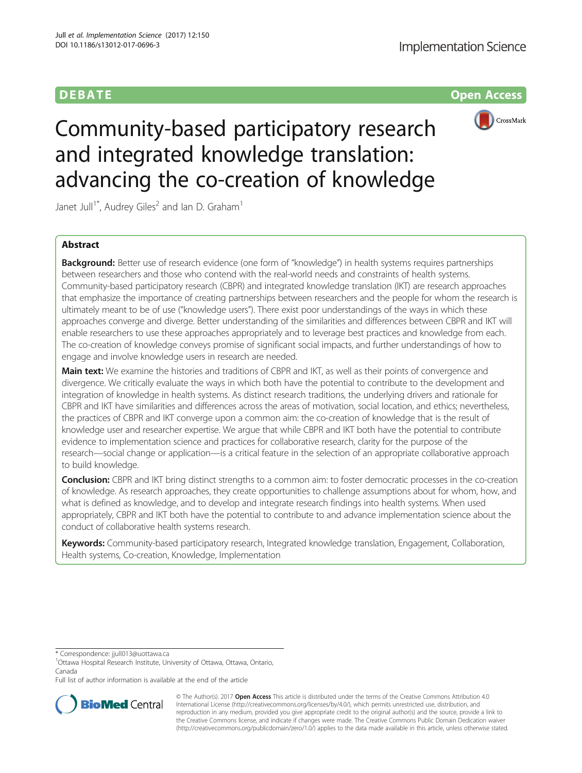**DEBATE CONSERVATION DEBATE** 



Community-based participatory research and integrated knowledge translation: advancing the co-creation of knowledge

Janet Jull<sup>1\*</sup>, Audrey Giles<sup>2</sup> and Ian D. Graham<sup>1</sup>

# Abstract

**Background:** Better use of research evidence (one form of "knowledge") in health systems requires partnerships between researchers and those who contend with the real-world needs and constraints of health systems. Community-based participatory research (CBPR) and integrated knowledge translation (IKT) are research approaches that emphasize the importance of creating partnerships between researchers and the people for whom the research is ultimately meant to be of use ("knowledge users"). There exist poor understandings of the ways in which these approaches converge and diverge. Better understanding of the similarities and differences between CBPR and IKT will enable researchers to use these approaches appropriately and to leverage best practices and knowledge from each. The co-creation of knowledge conveys promise of significant social impacts, and further understandings of how to engage and involve knowledge users in research are needed.

Main text: We examine the histories and traditions of CBPR and IKT, as well as their points of convergence and divergence. We critically evaluate the ways in which both have the potential to contribute to the development and integration of knowledge in health systems. As distinct research traditions, the underlying drivers and rationale for CBPR and IKT have similarities and differences across the areas of motivation, social location, and ethics; nevertheless, the practices of CBPR and IKT converge upon a common aim: the co-creation of knowledge that is the result of knowledge user and researcher expertise. We argue that while CBPR and IKT both have the potential to contribute evidence to implementation science and practices for collaborative research, clarity for the purpose of the research—social change or application—is a critical feature in the selection of an appropriate collaborative approach to build knowledge.

Conclusion: CBPR and IKT bring distinct strengths to a common aim: to foster democratic processes in the co-creation of knowledge. As research approaches, they create opportunities to challenge assumptions about for whom, how, and what is defined as knowledge, and to develop and integrate research findings into health systems. When used appropriately, CBPR and IKT both have the potential to contribute to and advance implementation science about the conduct of collaborative health systems research.

Keywords: Community-based participatory research, Integrated knowledge translation, Engagement, Collaboration, Health systems, Co-creation, Knowledge, Implementation

\* Correspondence: [jjull013@uottawa.ca](mailto:jjull013@uottawa.ca) <sup>1</sup>

Full list of author information is available at the end of the article



© The Author(s). 2017 **Open Access** This article is distributed under the terms of the Creative Commons Attribution 4.0 International License [\(http://creativecommons.org/licenses/by/4.0/](http://creativecommons.org/licenses/by/4.0/)), which permits unrestricted use, distribution, and reproduction in any medium, provided you give appropriate credit to the original author(s) and the source, provide a link to the Creative Commons license, and indicate if changes were made. The Creative Commons Public Domain Dedication waiver [\(http://creativecommons.org/publicdomain/zero/1.0/](http://creativecommons.org/publicdomain/zero/1.0/)) applies to the data made available in this article, unless otherwise stated.

<sup>&</sup>lt;sup>1</sup>Ottawa Hospital Research Institute, University of Ottawa, Ottawa, Ontario, Canada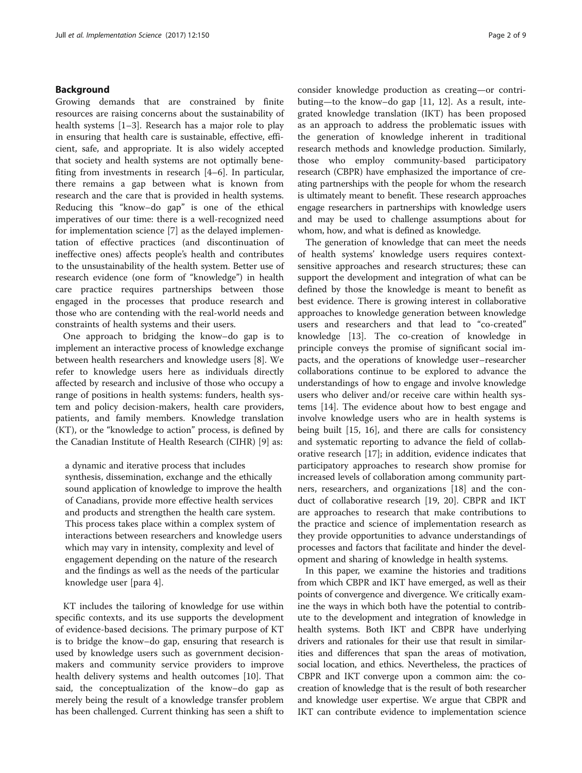## Background

Growing demands that are constrained by finite resources are raising concerns about the sustainability of health systems [\[1](#page-6-0)–[3\]](#page-6-0). Research has a major role to play in ensuring that health care is sustainable, effective, efficient, safe, and appropriate. It is also widely accepted that society and health systems are not optimally benefiting from investments in research [[4](#page-6-0)–[6\]](#page-6-0). In particular, there remains a gap between what is known from research and the care that is provided in health systems. Reducing this "know–do gap" is one of the ethical imperatives of our time: there is a well-recognized need for implementation science [\[7](#page-6-0)] as the delayed implementation of effective practices (and discontinuation of ineffective ones) affects people's health and contributes to the unsustainability of the health system. Better use of research evidence (one form of "knowledge") in health care practice requires partnerships between those engaged in the processes that produce research and those who are contending with the real-world needs and constraints of health systems and their users.

One approach to bridging the know–do gap is to implement an interactive process of knowledge exchange between health researchers and knowledge users [[8\]](#page-6-0). We refer to knowledge users here as individuals directly affected by research and inclusive of those who occupy a range of positions in health systems: funders, health system and policy decision-makers, health care providers, patients, and family members. Knowledge translation (KT), or the "knowledge to action" process, is defined by the Canadian Institute of Health Research (CIHR) [[9\]](#page-6-0) as:

a dynamic and iterative process that includes synthesis, dissemination, exchange and the ethically sound application of knowledge to improve the health of Canadians, provide more effective health services and products and strengthen the health care system. This process takes place within a complex system of interactions between researchers and knowledge users which may vary in intensity, complexity and level of engagement depending on the nature of the research and the findings as well as the needs of the particular knowledge user [para 4].

KT includes the tailoring of knowledge for use within specific contexts, and its use supports the development of evidence-based decisions. The primary purpose of KT is to bridge the know–do gap, ensuring that research is used by knowledge users such as government decisionmakers and community service providers to improve health delivery systems and health outcomes [\[10\]](#page-6-0). That said, the conceptualization of the know–do gap as merely being the result of a knowledge transfer problem has been challenged. Current thinking has seen a shift to consider knowledge production as creating—or contributing—to the know–do gap [[11](#page-7-0), [12](#page-7-0)]. As a result, integrated knowledge translation (IKT) has been proposed as an approach to address the problematic issues with the generation of knowledge inherent in traditional research methods and knowledge production. Similarly, those who employ community-based participatory research (CBPR) have emphasized the importance of creating partnerships with the people for whom the research is ultimately meant to benefit. These research approaches engage researchers in partnerships with knowledge users and may be used to challenge assumptions about for whom, how, and what is defined as knowledge.

The generation of knowledge that can meet the needs of health systems' knowledge users requires contextsensitive approaches and research structures; these can support the development and integration of what can be defined by those the knowledge is meant to benefit as best evidence. There is growing interest in collaborative approaches to knowledge generation between knowledge users and researchers and that lead to "co-created" knowledge [[13\]](#page-7-0). The co-creation of knowledge in principle conveys the promise of significant social impacts, and the operations of knowledge user–researcher collaborations continue to be explored to advance the understandings of how to engage and involve knowledge users who deliver and/or receive care within health systems [\[14](#page-7-0)]. The evidence about how to best engage and involve knowledge users who are in health systems is being built [\[15, 16](#page-7-0)], and there are calls for consistency and systematic reporting to advance the field of collaborative research [\[17\]](#page-7-0); in addition, evidence indicates that participatory approaches to research show promise for increased levels of collaboration among community partners, researchers, and organizations [[18\]](#page-7-0) and the conduct of collaborative research [[19, 20](#page-7-0)]. CBPR and IKT are approaches to research that make contributions to the practice and science of implementation research as they provide opportunities to advance understandings of processes and factors that facilitate and hinder the development and sharing of knowledge in health systems.

In this paper, we examine the histories and traditions from which CBPR and IKT have emerged, as well as their points of convergence and divergence. We critically examine the ways in which both have the potential to contribute to the development and integration of knowledge in health systems. Both IKT and CBPR have underlying drivers and rationales for their use that result in similarities and differences that span the areas of motivation, social location, and ethics. Nevertheless, the practices of CBPR and IKT converge upon a common aim: the cocreation of knowledge that is the result of both researcher and knowledge user expertise. We argue that CBPR and IKT can contribute evidence to implementation science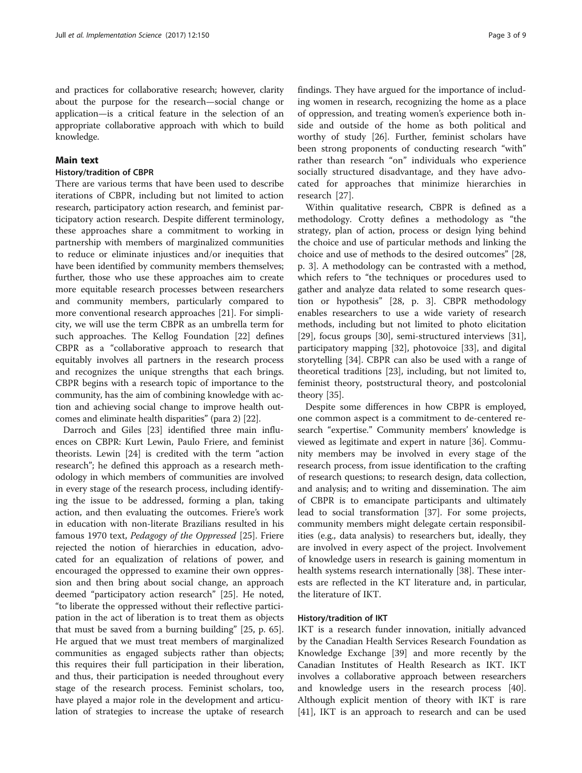and practices for collaborative research; however, clarity about the purpose for the research—social change or application—is a critical feature in the selection of an appropriate collaborative approach with which to build knowledge.

## Main text

#### History/tradition of CBPR

There are various terms that have been used to describe iterations of CBPR, including but not limited to action research, participatory action research, and feminist participatory action research. Despite different terminology, these approaches share a commitment to working in partnership with members of marginalized communities to reduce or eliminate injustices and/or inequities that have been identified by community members themselves; further, those who use these approaches aim to create more equitable research processes between researchers and community members, particularly compared to more conventional research approaches [[21](#page-7-0)]. For simplicity, we will use the term CBPR as an umbrella term for such approaches. The Kellog Foundation [\[22](#page-7-0)] defines CBPR as a "collaborative approach to research that equitably involves all partners in the research process and recognizes the unique strengths that each brings. CBPR begins with a research topic of importance to the community, has the aim of combining knowledge with action and achieving social change to improve health outcomes and eliminate health disparities" (para 2) [\[22\]](#page-7-0).

Darroch and Giles [[23](#page-7-0)] identified three main influences on CBPR: Kurt Lewin, Paulo Friere, and feminist theorists. Lewin [\[24](#page-7-0)] is credited with the term "action research"; he defined this approach as a research methodology in which members of communities are involved in every stage of the research process, including identifying the issue to be addressed, forming a plan, taking action, and then evaluating the outcomes. Friere's work in education with non-literate Brazilians resulted in his famous 1970 text, Pedagogy of the Oppressed [\[25](#page-7-0)]. Friere rejected the notion of hierarchies in education, advocated for an equalization of relations of power, and encouraged the oppressed to examine their own oppression and then bring about social change, an approach deemed "participatory action research" [[25](#page-7-0)]. He noted, "to liberate the oppressed without their reflective participation in the act of liberation is to treat them as objects that must be saved from a burning building" [\[25,](#page-7-0) p. [65](#page-8-0)]. He argued that we must treat members of marginalized communities as engaged subjects rather than objects; this requires their full participation in their liberation, and thus, their participation is needed throughout every stage of the research process. Feminist scholars, too, have played a major role in the development and articulation of strategies to increase the uptake of research findings. They have argued for the importance of including women in research, recognizing the home as a place of oppression, and treating women's experience both inside and outside of the home as both political and worthy of study [[26](#page-7-0)]. Further, feminist scholars have been strong proponents of conducting research "with" rather than research "on" individuals who experience socially structured disadvantage, and they have advocated for approaches that minimize hierarchies in research [[27\]](#page-7-0).

Within qualitative research, CBPR is defined as a methodology. Crotty defines a methodology as "the strategy, plan of action, process or design lying behind the choice and use of particular methods and linking the choice and use of methods to the desired outcomes" [[28](#page-7-0), p. [3\]](#page-6-0). A methodology can be contrasted with a method, which refers to "the techniques or procedures used to gather and analyze data related to some research question or hypothesis" [[28,](#page-7-0) p. [3\]](#page-6-0). CBPR methodology enables researchers to use a wide variety of research methods, including but not limited to photo elicitation [[29\]](#page-7-0), focus groups [\[30\]](#page-7-0), semi-structured interviews [\[31](#page-7-0)], participatory mapping [[32\]](#page-7-0), photovoice [\[33\]](#page-7-0), and digital storytelling [[34\]](#page-7-0). CBPR can also be used with a range of theoretical traditions [[23\]](#page-7-0), including, but not limited to, feminist theory, poststructural theory, and postcolonial theory [[35\]](#page-7-0).

Despite some differences in how CBPR is employed, one common aspect is a commitment to de-centered research "expertise." Community members' knowledge is viewed as legitimate and expert in nature [[36\]](#page-7-0). Community members may be involved in every stage of the research process, from issue identification to the crafting of research questions; to research design, data collection, and analysis; and to writing and dissemination. The aim of CBPR is to emancipate participants and ultimately lead to social transformation [\[37](#page-7-0)]. For some projects, community members might delegate certain responsibilities (e.g., data analysis) to researchers but, ideally, they are involved in every aspect of the project. Involvement of knowledge users in research is gaining momentum in health systems research internationally [\[38](#page-7-0)]. These interests are reflected in the KT literature and, in particular, the literature of IKT.

## History/tradition of IKT

IKT is a research funder innovation, initially advanced by the Canadian Health Services Research Foundation as Knowledge Exchange [\[39\]](#page-7-0) and more recently by the Canadian Institutes of Health Research as IKT. IKT involves a collaborative approach between researchers and knowledge users in the research process [\[40](#page-7-0)]. Although explicit mention of theory with IKT is rare [[41\]](#page-7-0), IKT is an approach to research and can be used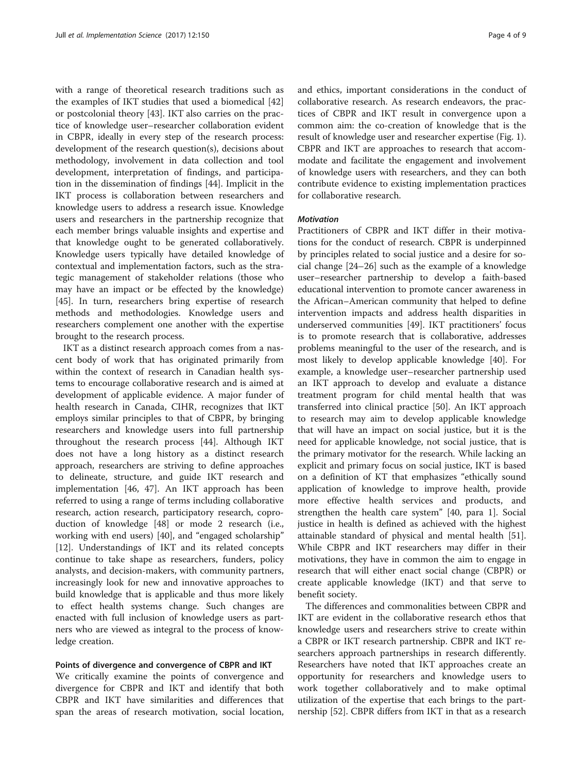with a range of theoretical research traditions such as the examples of IKT studies that used a biomedical [[42](#page-7-0)] or postcolonial theory [[43](#page-7-0)]. IKT also carries on the practice of knowledge user–researcher collaboration evident in CBPR, ideally in every step of the research process: development of the research question(s), decisions about methodology, involvement in data collection and tool development, interpretation of findings, and participation in the dissemination of findings [\[44\]](#page-7-0). Implicit in the IKT process is collaboration between researchers and knowledge users to address a research issue. Knowledge users and researchers in the partnership recognize that each member brings valuable insights and expertise and that knowledge ought to be generated collaboratively. Knowledge users typically have detailed knowledge of contextual and implementation factors, such as the strategic management of stakeholder relations (those who may have an impact or be effected by the knowledge) [[45\]](#page-7-0). In turn, researchers bring expertise of research methods and methodologies. Knowledge users and researchers complement one another with the expertise brought to the research process.

IKT as a distinct research approach comes from a nascent body of work that has originated primarily from within the context of research in Canadian health systems to encourage collaborative research and is aimed at development of applicable evidence. A major funder of health research in Canada, CIHR, recognizes that IKT employs similar principles to that of CBPR, by bringing researchers and knowledge users into full partnership throughout the research process [\[44](#page-7-0)]. Although IKT does not have a long history as a distinct research approach, researchers are striving to define approaches to delineate, structure, and guide IKT research and implementation [\[46](#page-7-0), [47\]](#page-7-0). An IKT approach has been referred to using a range of terms including collaborative research, action research, participatory research, coproduction of knowledge [\[48](#page-7-0)] or mode 2 research (i.e., working with end users) [[40\]](#page-7-0), and "engaged scholarship" [[12\]](#page-7-0). Understandings of IKT and its related concepts continue to take shape as researchers, funders, policy analysts, and decision-makers, with community partners, increasingly look for new and innovative approaches to build knowledge that is applicable and thus more likely to effect health systems change. Such changes are enacted with full inclusion of knowledge users as partners who are viewed as integral to the process of knowledge creation.

#### Points of divergence and convergence of CBPR and IKT

We critically examine the points of convergence and divergence for CBPR and IKT and identify that both CBPR and IKT have similarities and differences that span the areas of research motivation, social location, and ethics, important considerations in the conduct of collaborative research. As research endeavors, the practices of CBPR and IKT result in convergence upon a common aim: the co-creation of knowledge that is the result of knowledge user and researcher expertise (Fig. [1](#page-4-0)). CBPR and IKT are approaches to research that accommodate and facilitate the engagement and involvement of knowledge users with researchers, and they can both contribute evidence to existing implementation practices for collaborative research.

## Motivation

Practitioners of CBPR and IKT differ in their motivations for the conduct of research. CBPR is underpinned by principles related to social justice and a desire for social change [[24](#page-7-0)–[26\]](#page-7-0) such as the example of a knowledge user–researcher partnership to develop a faith-based educational intervention to promote cancer awareness in the African–American community that helped to define intervention impacts and address health disparities in underserved communities [[49\]](#page-7-0). IKT practitioners' focus is to promote research that is collaborative, addresses problems meaningful to the user of the research, and is most likely to develop applicable knowledge [\[40](#page-7-0)]. For example, a knowledge user–researcher partnership used an IKT approach to develop and evaluate a distance treatment program for child mental health that was transferred into clinical practice [[50\]](#page-7-0). An IKT approach to research may aim to develop applicable knowledge that will have an impact on social justice, but it is the need for applicable knowledge, not social justice, that is the primary motivator for the research. While lacking an explicit and primary focus on social justice, IKT is based on a definition of KT that emphasizes "ethically sound application of knowledge to improve health, provide more effective health services and products, and strengthen the health care system" [[40,](#page-7-0) para [1\]](#page-6-0). Social justice in health is defined as achieved with the highest attainable standard of physical and mental health [\[51](#page-7-0)]. While CBPR and IKT researchers may differ in their motivations, they have in common the aim to engage in research that will either enact social change (CBPR) or create applicable knowledge (IKT) and that serve to benefit society.

The differences and commonalities between CBPR and IKT are evident in the collaborative research ethos that knowledge users and researchers strive to create within a CBPR or IKT research partnership. CBPR and IKT researchers approach partnerships in research differently. Researchers have noted that IKT approaches create an opportunity for researchers and knowledge users to work together collaboratively and to make optimal utilization of the expertise that each brings to the partnership [\[52\]](#page-7-0). CBPR differs from IKT in that as a research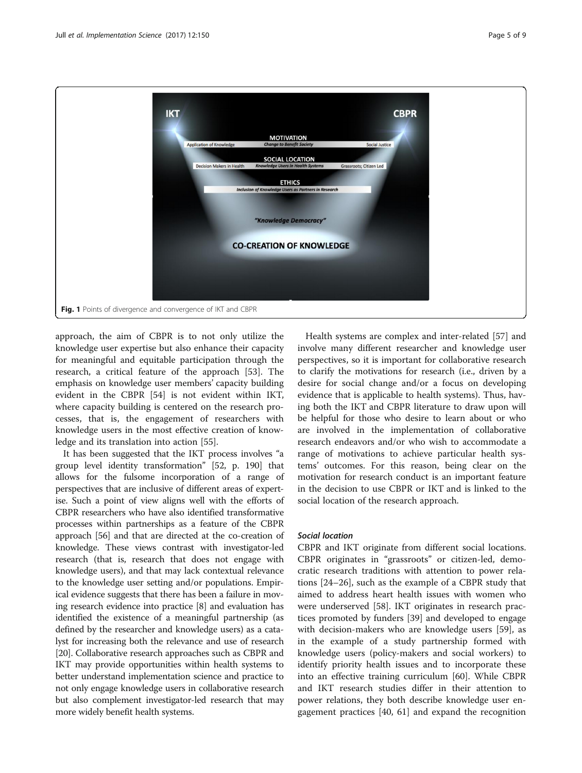

<span id="page-4-0"></span>

approach, the aim of CBPR is to not only utilize the knowledge user expertise but also enhance their capacity for meaningful and equitable participation through the research, a critical feature of the approach [[53\]](#page-7-0). The emphasis on knowledge user members' capacity building evident in the CBPR [[54](#page-7-0)] is not evident within IKT, where capacity building is centered on the research processes, that is, the engagement of researchers with knowledge users in the most effective creation of knowledge and its translation into action [\[55](#page-7-0)].

It has been suggested that the IKT process involves "a group level identity transformation" [[52](#page-7-0), p. 190] that allows for the fulsome incorporation of a range of perspectives that are inclusive of different areas of expertise. Such a point of view aligns well with the efforts of CBPR researchers who have also identified transformative processes within partnerships as a feature of the CBPR approach [\[56](#page-7-0)] and that are directed at the co-creation of knowledge. These views contrast with investigator-led research (that is, research that does not engage with knowledge users), and that may lack contextual relevance to the knowledge user setting and/or populations. Empirical evidence suggests that there has been a failure in moving research evidence into practice [[8\]](#page-6-0) and evaluation has identified the existence of a meaningful partnership (as defined by the researcher and knowledge users) as a catalyst for increasing both the relevance and use of research [[20](#page-7-0)]. Collaborative research approaches such as CBPR and IKT may provide opportunities within health systems to better understand implementation science and practice to not only engage knowledge users in collaborative research but also complement investigator-led research that may more widely benefit health systems.

Health systems are complex and inter-related [\[57](#page-7-0)] and involve many different researcher and knowledge user perspectives, so it is important for collaborative research to clarify the motivations for research (i.e., driven by a desire for social change and/or a focus on developing evidence that is applicable to health systems). Thus, having both the IKT and CBPR literature to draw upon will be helpful for those who desire to learn about or who are involved in the implementation of collaborative research endeavors and/or who wish to accommodate a range of motivations to achieve particular health systems' outcomes. For this reason, being clear on the motivation for research conduct is an important feature in the decision to use CBPR or IKT and is linked to the social location of the research approach.

## Social location

CBPR and IKT originate from different social locations. CBPR originates in "grassroots" or citizen-led, democratic research traditions with attention to power relations [\[24](#page-7-0)–[26\]](#page-7-0), such as the example of a CBPR study that aimed to address heart health issues with women who were underserved [\[58\]](#page-8-0). IKT originates in research practices promoted by funders [[39\]](#page-7-0) and developed to engage with decision-makers who are knowledge users [\[59\]](#page-8-0), as in the example of a study partnership formed with knowledge users (policy-makers and social workers) to identify priority health issues and to incorporate these into an effective training curriculum [\[60\]](#page-8-0). While CBPR and IKT research studies differ in their attention to power relations, they both describe knowledge user engagement practices [[40,](#page-7-0) [61](#page-8-0)] and expand the recognition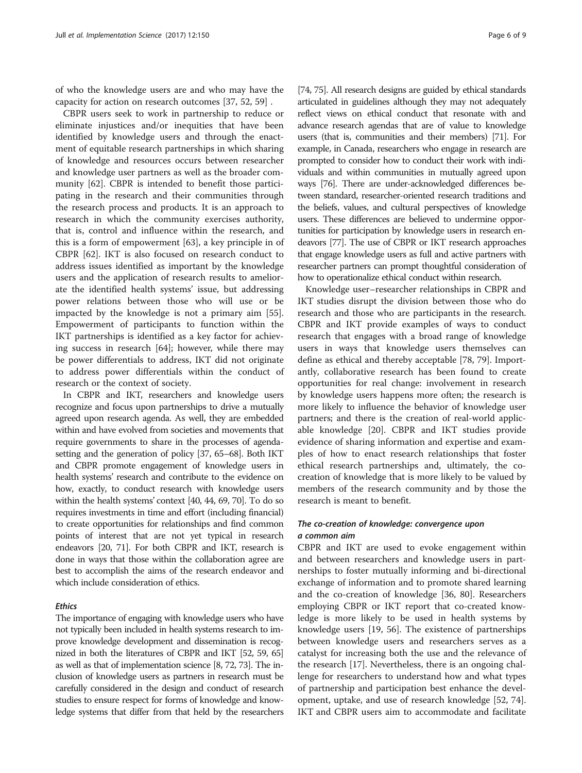of who the knowledge users are and who may have the capacity for action on research outcomes [\[37, 52,](#page-7-0) [59\]](#page-8-0) .

CBPR users seek to work in partnership to reduce or eliminate injustices and/or inequities that have been identified by knowledge users and through the enactment of equitable research partnerships in which sharing of knowledge and resources occurs between researcher and knowledge user partners as well as the broader community [[62\]](#page-8-0). CBPR is intended to benefit those participating in the research and their communities through the research process and products. It is an approach to research in which the community exercises authority, that is, control and influence within the research, and this is a form of empowerment [\[63](#page-8-0)], a key principle in of CBPR [[62\]](#page-8-0). IKT is also focused on research conduct to address issues identified as important by the knowledge users and the application of research results to ameliorate the identified health systems' issue, but addressing power relations between those who will use or be impacted by the knowledge is not a primary aim [\[55](#page-7-0)]. Empowerment of participants to function within the IKT partnerships is identified as a key factor for achieving success in research [\[64\]](#page-8-0); however, while there may be power differentials to address, IKT did not originate to address power differentials within the conduct of research or the context of society.

In CBPR and IKT, researchers and knowledge users recognize and focus upon partnerships to drive a mutually agreed upon research agenda. As well, they are embedded within and have evolved from societies and movements that require governments to share in the processes of agendasetting and the generation of policy [[37](#page-7-0), [65](#page-8-0)–[68](#page-8-0)]. Both IKT and CBPR promote engagement of knowledge users in health systems' research and contribute to the evidence on how, exactly, to conduct research with knowledge users within the health systems' context [\[40, 44,](#page-7-0) [69, 70](#page-8-0)]. To do so requires investments in time and effort (including financial) to create opportunities for relationships and find common points of interest that are not yet typical in research endeavors [\[20,](#page-7-0) [71\]](#page-8-0). For both CBPR and IKT, research is done in ways that those within the collaboration agree are best to accomplish the aims of the research endeavor and which include consideration of ethics.

## Ethics

The importance of engaging with knowledge users who have not typically been included in health systems research to improve knowledge development and dissemination is recognized in both the literatures of CBPR and IKT [[52,](#page-7-0) [59, 65](#page-8-0)] as well as that of implementation science [\[8,](#page-6-0) [72, 73\]](#page-8-0). The inclusion of knowledge users as partners in research must be carefully considered in the design and conduct of research studies to ensure respect for forms of knowledge and knowledge systems that differ from that held by the researchers

[[74, 75](#page-8-0)]. All research designs are guided by ethical standards articulated in guidelines although they may not adequately reflect views on ethical conduct that resonate with and advance research agendas that are of value to knowledge users (that is, communities and their members) [\[71\]](#page-8-0). For example, in Canada, researchers who engage in research are prompted to consider how to conduct their work with individuals and within communities in mutually agreed upon ways [\[76](#page-8-0)]. There are under-acknowledged differences between standard, researcher-oriented research traditions and the beliefs, values, and cultural perspectives of knowledge users. These differences are believed to undermine opportunities for participation by knowledge users in research endeavors [\[77](#page-8-0)]. The use of CBPR or IKT research approaches that engage knowledge users as full and active partners with researcher partners can prompt thoughtful consideration of how to operationalize ethical conduct within research.

Knowledge user–researcher relationships in CBPR and IKT studies disrupt the division between those who do research and those who are participants in the research. CBPR and IKT provide examples of ways to conduct research that engages with a broad range of knowledge users in ways that knowledge users themselves can define as ethical and thereby acceptable [[78](#page-8-0), [79](#page-8-0)]. Importantly, collaborative research has been found to create opportunities for real change: involvement in research by knowledge users happens more often; the research is more likely to influence the behavior of knowledge user partners; and there is the creation of real-world applicable knowledge [[20\]](#page-7-0). CBPR and IKT studies provide evidence of sharing information and expertise and examples of how to enact research relationships that foster ethical research partnerships and, ultimately, the cocreation of knowledge that is more likely to be valued by members of the research community and by those the research is meant to benefit.

## The co-creation of knowledge: convergence upon a common aim

CBPR and IKT are used to evoke engagement within and between researchers and knowledge users in partnerships to foster mutually informing and bi-directional exchange of information and to promote shared learning and the co-creation of knowledge [[36,](#page-7-0) [80\]](#page-8-0). Researchers employing CBPR or IKT report that co-created knowledge is more likely to be used in health systems by knowledge users [\[19, 56\]](#page-7-0). The existence of partnerships between knowledge users and researchers serves as a catalyst for increasing both the use and the relevance of the research [[17\]](#page-7-0). Nevertheless, there is an ongoing challenge for researchers to understand how and what types of partnership and participation best enhance the development, uptake, and use of research knowledge [\[52,](#page-7-0) [74](#page-8-0)]. IKT and CBPR users aim to accommodate and facilitate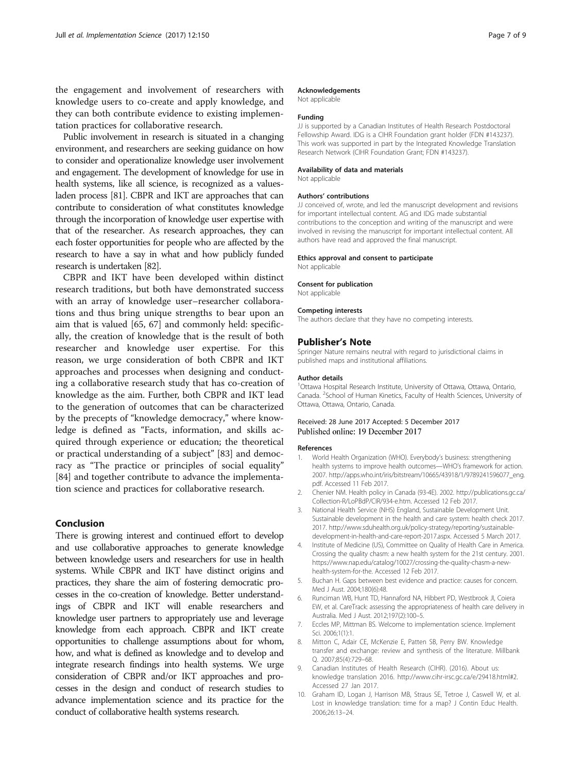<span id="page-6-0"></span>the engagement and involvement of researchers with knowledge users to co-create and apply knowledge, and they can both contribute evidence to existing implementation practices for collaborative research.

Public involvement in research is situated in a changing environment, and researchers are seeking guidance on how to consider and operationalize knowledge user involvement and engagement. The development of knowledge for use in health systems, like all science, is recognized as a valuesladen process [\[81\]](#page-8-0). CBPR and IKT are approaches that can contribute to consideration of what constitutes knowledge through the incorporation of knowledge user expertise with that of the researcher. As research approaches, they can each foster opportunities for people who are affected by the research to have a say in what and how publicly funded research is undertaken [[82\]](#page-8-0).

CBPR and IKT have been developed within distinct research traditions, but both have demonstrated success with an array of knowledge user–researcher collaborations and thus bring unique strengths to bear upon an aim that is valued [\[65, 67](#page-8-0)] and commonly held: specifically, the creation of knowledge that is the result of both researcher and knowledge user expertise. For this reason, we urge consideration of both CBPR and IKT approaches and processes when designing and conducting a collaborative research study that has co-creation of knowledge as the aim. Further, both CBPR and IKT lead to the generation of outcomes that can be characterized by the precepts of "knowledge democracy," where knowledge is defined as "Facts, information, and skills acquired through experience or education; the theoretical or practical understanding of a subject" [[83](#page-8-0)] and democracy as "The practice or principles of social equality" [[84\]](#page-8-0) and together contribute to advance the implementation science and practices for collaborative research.

## Conclusion

There is growing interest and continued effort to develop and use collaborative approaches to generate knowledge between knowledge users and researchers for use in health systems. While CBPR and IKT have distinct origins and practices, they share the aim of fostering democratic processes in the co-creation of knowledge. Better understandings of CBPR and IKT will enable researchers and knowledge user partners to appropriately use and leverage knowledge from each approach. CBPR and IKT create opportunities to challenge assumptions about for whom, how, and what is defined as knowledge and to develop and integrate research findings into health systems. We urge consideration of CBPR and/or IKT approaches and processes in the design and conduct of research studies to advance implementation science and its practice for the conduct of collaborative health systems research.

#### Acknowledgements

Not applicable

#### Funding

JJ is supported by a Canadian Institutes of Health Research Postdoctoral Fellowship Award. IDG is a CIHR Foundation grant holder (FDN #143237). This work was supported in part by the Integrated Knowledge Translation Research Network (CIHR Foundation Grant; FDN #143237).

#### Availability of data and materials

Not applicable

#### Authors' contributions

JJ conceived of, wrote, and led the manuscript development and revisions for important intellectual content. AG and IDG made substantial contributions to the conception and writing of the manuscript and were involved in revising the manuscript for important intellectual content. All authors have read and approved the final manuscript.

#### Ethics approval and consent to participate

Not applicable

#### Consent for publication

Not applicable

#### Competing interests

The authors declare that they have no competing interests.

#### Publisher's Note

Springer Nature remains neutral with regard to jurisdictional claims in published maps and institutional affiliations.

#### Author details

<sup>1</sup>Ottawa Hospital Research Institute, University of Ottawa, Ottawa, Ontario, Canada. <sup>2</sup>School of Human Kinetics, Faculty of Health Sciences, University of Ottawa, Ottawa, Ontario, Canada.

#### Received: 28 June 2017 Accepted: 5 December 2017 Published online: 19 December 2017

#### References

- 1. World Health Organization (WHO). Everybody's business: strengthening health systems to improve health outcomes—WHO's framework for action. 2007. [http://apps.who.int/iris/bitstream/10665/43918/1/9789241596077\\_eng.](http://apps.who.int/iris/bitstream/10665/43918/1/9789241596077_eng.pdf) [pdf](http://apps.who.int/iris/bitstream/10665/43918/1/9789241596077_eng.pdf). Accessed 11 Feb 2017.
- 2. Chenier NM. Health policy in Canada (93-4E). 2002. [http://publications.gc.ca/](http://publications.gc.ca/Collection-R/LoPBdP/CIR/934-e.htm) [Collection-R/LoPBdP/CIR/934-e.htm](http://publications.gc.ca/Collection-R/LoPBdP/CIR/934-e.htm). Accessed 12 Feb 2017.
- 3. National Health Service (NHS) England, Sustainable Development Unit. Sustainable development in the health and care system: health check 2017. 2017. [http://www.sduhealth.org.uk/policy-strategy/reporting/sustainable](http://www.sduhealth.org.uk/policy-strategy/reporting/sustainable-development-in-health-and-care-report-2017.aspx)[development-in-health-and-care-report-2017.aspx.](http://www.sduhealth.org.uk/policy-strategy/reporting/sustainable-development-in-health-and-care-report-2017.aspx) Accessed 5 March 2017.
- 4. Institute of Medicine (US), Committee on Quality of Health Care in America. Crossing the quality chasm: a new health system for the 21st century. 2001. [https://www.nap.edu/catalog/10027/crossing-the-quality-chasm-a-new](https://www.nap.edu/catalog/10027/crossing-the-quality-chasm-a-new-health-system-for-the)[health-system-for-the](https://www.nap.edu/catalog/10027/crossing-the-quality-chasm-a-new-health-system-for-the). Accessed 12 Feb 2017.
- 5. Buchan H. Gaps between best evidence and practice: causes for concern. Med J Aust. 2004;180(6):48.
- 6. Runciman WB, Hunt TD, Hannaford NA, Hibbert PD, Westbrook JI, Coiera EW, et al. CareTrack: assessing the appropriateness of health care delivery in Australia. Med J Aust. 2012;197(2):100–5.
- 7. Eccles MP, Mittman BS. Welcome to implementation science. Implement Sci. 2006;1(1):1.
- 8. Mitton C, Adair CE, McKenzie E, Patten SB, Perry BW. Knowledge transfer and exchange: review and synthesis of the literature. Millbank Q. 2007;85(4):729–68.
- 9. Canadian Institutes of Health Research (CIHR). (2016). About us: knowledge translation 2016. [http://www.cihr-irsc.gc.ca/e/29418.html#2.](http://www.cihr-irsc.gc.ca/e/29418.html#2) Accessed 27 Jan 2017.
- 10. Graham ID, Logan J, Harrison MB, Straus SE, Tetroe J, Caswell W, et al. Lost in knowledge translation: time for a map? J Contin Educ Health. 2006;26:13–24.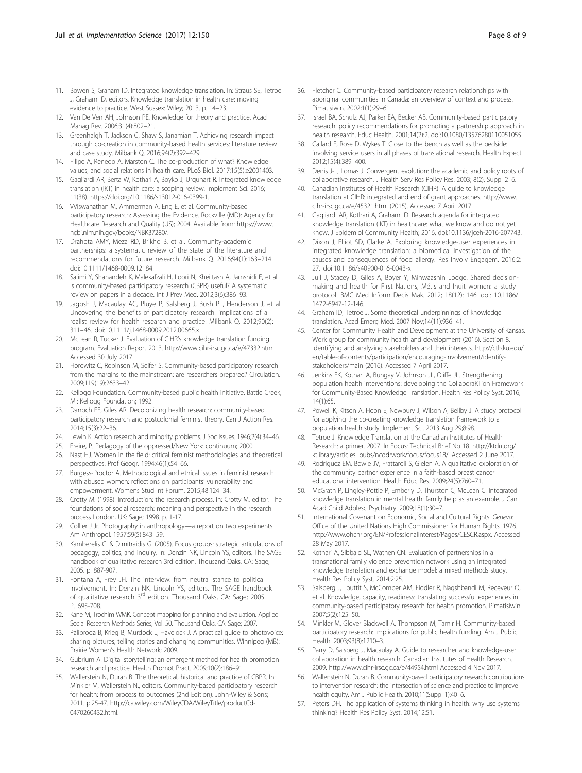- <span id="page-7-0"></span>11. Bowen S, Graham ID. Integrated knowledge translation. In: Straus SE, Tetroe J, Graham ID, editors. Knowledge translation in health care: moving evidence to practice. West Sussex: Wiley; 2013. p. 14–23.
- 12. Van De Ven AH, Johnson PE. Knowledge for theory and practice. Acad Manag Rev. 2006;31(4):802–21.
- 13. Greenhalgh T, Jackson C, Shaw S, Janamian T. Achieving research impact through co-creation in community-based health services: literature review and case study. Milbank Q. 2016;94(2):392–429.
- 14. Filipe A, Renedo A, Marston C. The co-production of what? Knowledge values, and social relations in health care. PLoS Biol. 2017;15(5):e2001403.
- 15. Gagliardi AR, Berta W, Kothari A, Boyko J, Urquhart R. Integrated knowledge translation (IKT) in health care: a scoping review. Implement Sci. 2016; 11(38). [https://doi.org/10.1186/s13012-016-0399-1.](http://dx.doi.org/10.1186/s13012-016-0399-1)
- 16. VViswanathan M, Ammerman A, Eng E, et al. Community-based participatory research: Assessing the Evidence. Rockville (MD): Agency for Healthcare Research and Quality (US); 2004. Available from: [https://www.](https://www.ncbi.nlm.nih.gov/books/NBK37280/) [ncbi.nlm.nih.gov/books/NBK37280/](https://www.ncbi.nlm.nih.gov/books/NBK37280/).
- 17. Drahota AMY, Meza RD, Brikho B, et al. Community-academic partnerships: a systematic review of the state of the literature and recommendations for future research. Milbank Q. 2016;94(1):163–214. doi[:10.1111/1468-0009.12184](http://dx.doi.org/10.1111/1468-0009.12184).
- 18. Salimi Y, Shahandeh K, Malekafzali H, Loori N, Kheiltash A, Jamshidi E, et al. Is community-based participatory research (CBPR) useful? A systematic review on papers in a decade. Int J Prev Med. 2012;3(6):386–93.
- 19. Jagosh J, Macaulay AC, Pluye P, Salsberg J, Bush PL, Henderson J, et al. Uncovering the benefits of participatory research: implications of a realist review for health research and practice. Milbank Q. 2012;90(2): 311–46. doi:[10.1111/j.1468-0009.2012.00665.x](http://dx.doi.org/10.1111/j.1468-0009.2012.00665.x).
- 20. McLean R, Tucker J. Evaluation of CIHR's knowledge translation funding program. Evaluation Report 2013. [http://www.cihr-irsc.gc.ca/e/47332.html.](http://www.cihr-irsc.gc.ca/e/47332.html) Accessed 30 July 2017.
- 21. Horowitz C, Robinson M, Seifer S. Community-based participatory research from the margins to the mainstream: are researchers prepared? Circulation. 2009;119(19):2633–42.
- 22. Kellogg Foundation. Community-based public health initiative. Battle Creek, MI: Kellogg Foundation; 1992.
- 23. Darroch FE, Giles AR. Decolonizing health research: community-based participatory research and postcolonial feminist theory. Can J Action Res. 2014;15(3):22–36.
- 24. Lewin K. Action research and minority problems. J Soc Issues. 1946;2(4):34–46.
- 25. Freire, P. Pedagogy of the oppressed/New York: continuum; 2000.
- 26. Nast HJ. Women in the field: critical feminist methodologies and theoretical perspectives. Prof Geogr. 1994;46(1):54–66.
- 27. Burgess-Proctor A. Methodological and ethical issues in feminist research with abused women: reflections on participants' vulnerability and empowerment. Womens Stud Int Forum. 2015;48:124–34.
- 28. Crotty M. (1998). Introduction: the research process. In: Crotty M, editor. The foundations of social research: meaning and perspective in the research process London, UK: Sage; 1998. p. 1-17.
- 29. Collier J Jr. Photography in anthropology-a report on two experiments. Am Anthropol. 1957;59(5):843–59.
- 30. Kamberelis G. & Dimitraidis G. (2005). Focus groups: strategic articulations of pedagogy, politics, and inquiry. In: Denzin NK, Lincoln YS, editors. The SAGE handbook of qualitative research 3rd edition. Thousand Oaks, CA: Sage; 2005. p. 887-907.
- 31. Fontana A, Frey JH. The interview: from neutral stance to political involvement. In: Denzin NK, Lincoln YS, editors. The SAGE handbook of qualitative research 3<sup>rd</sup> edition. Thousand Oaks, CA: Sage; 2005. P. 695-708.
- 32. Kane M, Trochim WMK. Concept mapping for planning and evaluation. Applied Social Research Methods Series, Vol. 50. Thousand Oaks, CA: Sage; 2007.
- 33. Palibroda B, Krieg B, Murdock L, Havelock J. A practical guide to photovoice: sharing pictures, telling stories and changing communities. Winnipeg (MB): Prairie Women's Health Network; 2009.
- 34. Gubrium A. Digital storytelling: an emergent method for health promotion research and practice. Health Promot Pract. 2009;10(2):186–91.
- 35. Wallerstein N, Duran B. The theoretical, historical and practice of CBPR. In: Minkler M, Wallerstein N., editors. Community-based participatory research for health: from process to outcomes (2nd Edition). John-Wiley & Sons; 2011. p.25-47. [http://ca.wiley.com/WileyCDA/WileyTitle/productCd-](http://ca.wiley.com/WileyCDA/WileyTitle/productCd-0470260432.html)[0470260432.html](http://ca.wiley.com/WileyCDA/WileyTitle/productCd-0470260432.html).
- 36. Fletcher C. Community-based participatory research relationships with aboriginal communities in Canada: an overview of context and process. Pimatisiwin. 2002;1(1):29–61.
- 37. Israel BA, Schulz AJ, Parker EA, Becker AB. Community-based participatory research: policy recommendations for promoting a partnership approach in health research. Educ Health. 2001;14(2):2. doi:[10.1080/13576280110051055.](http://dx.doi.org/10.1080/13576280110051055)
- Callard F, Rose D, Wykes T. Close to the bench as well as the bedside: involving service users in all phases of translational research. Health Expect. 2012;15(4):389–400.
- 39. Denis J-L, Lomas J. Convergent evolution: the academic and policy roots of collaborative research. J Health Serv Res Policy Res. 2003; 8(2), Suppl 2–6.
- 40. Canadian Institutes of Health Research (CIHR). A guide to knowledge translation at CIHR: integrated and end of grant approaches. [http://www.](http://www.cihr-irsc.gc.ca/e/45321.html) [cihr-irsc.gc.ca/e/45321.html](http://www.cihr-irsc.gc.ca/e/45321.html) (2015). Accessed 7 April 2017.
- 41. Gagliardi AR, Kothari A, Graham ID. Research agenda for integrated knowledge translation (IKT) in healthcare: what we know and do not yet know. J Epidemiol Community Health; 2016. doi:[10.1136/jceh-2016-207743.](http://dx.doi.org/10.1136/jceh-2016-207743)
- 42. Dixon J, Elliot SD, Clarke A. Exploring knowledge-user experiences in integrated knowledge translation: a biomedical investigation of the causes and consequences of food allergy. Res Involv Engagem. 2016;2: 27. doi:[10.1186/s40900-016-0043-x](http://dx.doi.org/10.1186/s40900-016-0043-x)
- 43. Jull J, Stacey D, Giles A, Boyer Y, Minwaashin Lodge. Shared decisionmaking and health for First Nations, Métis and Inuit women: a study protocol. BMC Med Inform Decis Mak. 2012; 18(12): 146. doi: [10.1186/](http://dx.doi.org/10.1186/1472-6947-12-146) [1472-6947-12-146.](http://dx.doi.org/10.1186/1472-6947-12-146)
- 44. Graham ID, Tetroe J. Some theoretical underpinnings of knowledge translation. Acad Emerg Med. 2007 Nov;14(11):936–41.
- 45. Center for Community Health and Development at the University of Kansas. Work group for community health and development (2016). Section 8. Identifying and analyzing stakeholders and their interests. [http://ctb.ku.edu/](http://ctb.ku.edu/en/table-of-contents/participation/encouraging-involvement/identify-stakeholders/main) [en/table-of-contents/participation/encouraging-involvement/identify](http://ctb.ku.edu/en/table-of-contents/participation/encouraging-involvement/identify-stakeholders/main)[stakeholders/main](http://ctb.ku.edu/en/table-of-contents/participation/encouraging-involvement/identify-stakeholders/main) (2016). Accessed 7 April 2017.
- 46. Jenkins EK, Kothari A, Bungay V, Johnson JL, Oliffe JL. Strengthening population health interventions: developing the CollaboraKTion Framework for Community-Based Knowledge Translation. Health Res Policy Syst. 2016; 14(1):65.
- 47. Powell K, Kitson A, Hoon E, Newbury J, Wilson A, Beilby J. A study protocol for applying the co-creating knowledge translation framework to a population health study. Implement Sci. 2013 Aug 29;8:98.
- 48. Tetroe J. Knowledge Translation at the Canadian Institutes of Health Research: a primer. 2007. In Focus: Technical Brief No 18. [http://ktdrr.org/](http://ktdrr.org/ktlibrary/articles_pubs/ncddrwork/focus/focus18/) [ktlibrary/articles\\_pubs/ncddrwork/focus/focus18/.](http://ktdrr.org/ktlibrary/articles_pubs/ncddrwork/focus/focus18/) Accessed 2 June 2017.
- 49. Rodriguez EM, Bowie JV, Frattaroli S, Gielen A. A qualitative exploration of the community partner experience in a faith-based breast cancer educational intervention. Health Educ Res. 2009;24(5):760–71.
- 50. McGrath P, Lingley-Pottie P, Emberly D, Thurston C, McLean C. Integrated knowledge translation in mental health: family help as an example. J Can Acad Child Adolesc Psychiatry. 2009;18(1):30–7.
- 51. International Covenant on Economic, Social and Cultural Rights. Geneva: Office of the United Nations High Commissioner for Human Rights. 1976. [http://www.ohchr.org/EN/ProfessionalInterest/Pages/CESCR.aspx.](http://www.ohchr.org/EN/ProfessionalInterest/Pages/CESCR.aspx) Accessed 28 May 2017.
- 52. Kothari A, Sibbald SL, Wathen CN. Evaluation of partnerships in a transnational family violence prevention network using an integrated knowledge translation and exchange model: a mixed methods study. Health Res Policy Syst. 2014;2:25.
- 53. Salsberg J, Louttit S, McComber AM, Fiddler R, Naqshbandi M, Receveur O, et al. Knowledge, capacity, readiness: translating successful experiences in community-based participatory research for health promotion. Pimatisiwin. 2007;5(2):125–50.
- 54. Minkler M, Glover Blackwell A, Thompson M, Tamir H. Community-based participatory research: implications for public health funding. Am J Public Health. 2003;93(8):1210–3.
- 55. Parry D, Salsberg J, Macaulay A. Guide to researcher and knowledge-user collaboration in health research. Canadian Institutes of Health Research. 2009.<http://www.cihr-irsc.gc.ca/e/44954.html> Accessed 4 Nov 2017.
- 56. Wallenstein N, Duran B. Community-based participatory research contributions to intervention research: the intersection of science and practice to improve health equity. Am J Public Health. 2010;11(Suppl 1):40–6.
- 57. Peters DH. The application of systems thinking in health: why use systems thinking? Health Res Policy Syst. 2014;12:51.